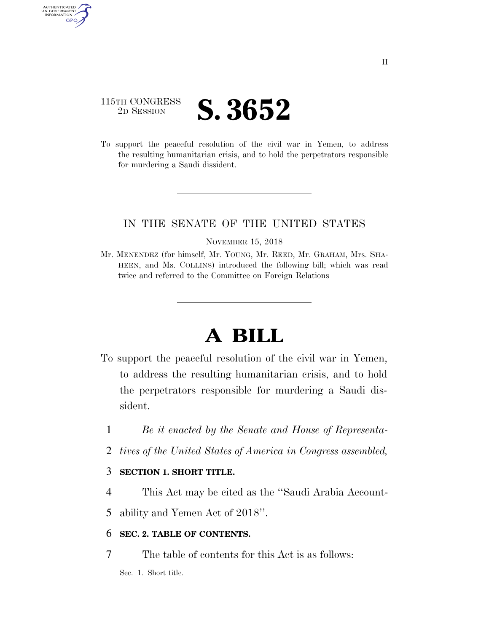### 115TH CONGRESS <sup>2D SESSION</sup> **S. 3652**

AUTHENTICATED U.S. GOVERNMENT GPO

> To support the peaceful resolution of the civil war in Yemen, to address the resulting humanitarian crisis, and to hold the perpetrators responsible for murdering a Saudi dissident.

#### IN THE SENATE OF THE UNITED STATES

NOVEMBER 15, 2018

Mr. MENENDEZ (for himself, Mr. YOUNG, Mr. REED, Mr. GRAHAM, Mrs. SHA-HEEN, and Ms. COLLINS) introduced the following bill; which was read twice and referred to the Committee on Foreign Relations

# **A BILL**

- To support the peaceful resolution of the civil war in Yemen, to address the resulting humanitarian crisis, and to hold the perpetrators responsible for murdering a Saudi dissident.
	- 1 *Be it enacted by the Senate and House of Representa-*
	- 2 *tives of the United States of America in Congress assembled,*

#### 3 **SECTION 1. SHORT TITLE.**

4 This Act may be cited as the ''Saudi Arabia Account-

5 ability and Yemen Act of 2018''.

#### 6 **SEC. 2. TABLE OF CONTENTS.**

7 The table of contents for this Act is as follows:

Sec. 1. Short title.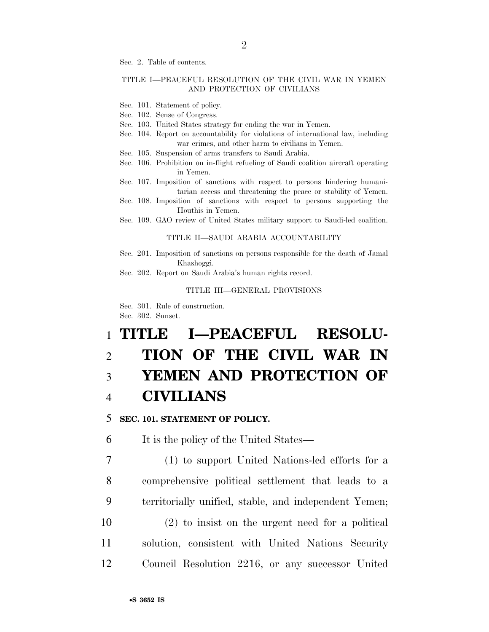Sec. 2. Table of contents.

#### TITLE I—PEACEFUL RESOLUTION OF THE CIVIL WAR IN YEMEN AND PROTECTION OF CIVILIANS

- Sec. 101. Statement of policy.
- Sec. 102. Sense of Congress.
- Sec. 103. United States strategy for ending the war in Yemen.
- Sec. 104. Report on accountability for violations of international law, including war crimes, and other harm to civilians in Yemen.
- Sec. 105. Suspension of arms transfers to Saudi Arabia.
- Sec. 106. Prohibition on in-flight refueling of Saudi coalition aircraft operating in Yemen.
- Sec. 107. Imposition of sanctions with respect to persons hindering humanitarian access and threatening the peace or stability of Yemen.
- Sec. 108. Imposition of sanctions with respect to persons supporting the Houthis in Yemen.
- Sec. 109. GAO review of United States military support to Saudi-led coalition.

#### TITLE II—SAUDI ARABIA ACCOUNTABILITY

- Sec. 201. Imposition of sanctions on persons responsible for the death of Jamal Khashoggi.
- Sec. 202. Report on Saudi Arabia's human rights record.

#### TITLE III—GENERAL PROVISIONS

Sec. 301. Rule of construction. Sec. 302. Sunset.

## 1 **TITLE I—PEACEFUL RESOLU-**2 **TION OF THE CIVIL WAR IN**  3 **YEMEN AND PROTECTION OF**  4 **CIVILIANS**

#### 5 **SEC. 101. STATEMENT OF POLICY.**

6 It is the policy of the United States—

 (1) to support United Nations-led efforts for a comprehensive political settlement that leads to a territorially unified, stable, and independent Yemen; (2) to insist on the urgent need for a political solution, consistent with United Nations Security Council Resolution 2216, or any successor United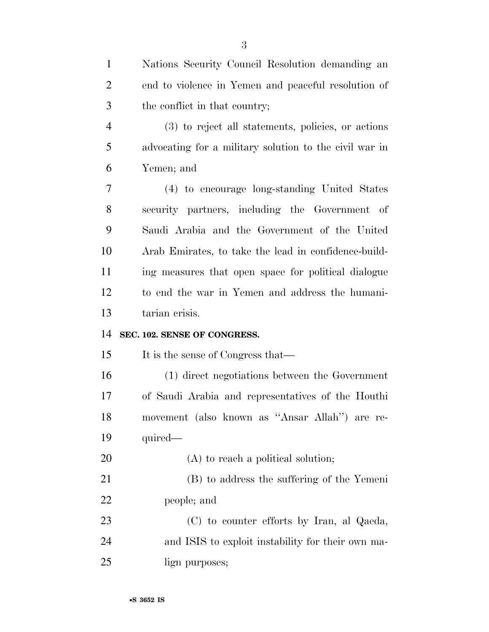| $\mathbf{1}$   | Nations Security Council Resolution demanding an       |
|----------------|--------------------------------------------------------|
| $\overline{2}$ | end to violence in Yemen and peaceful resolution of    |
| 3              | the conflict in that country;                          |
| $\overline{4}$ | (3) to reject all statements, policies, or actions     |
| 5              | advocating for a military solution to the civil war in |
| 6              | Yemen; and                                             |
| 7              | (4) to encourage long-standing United States           |
| 8              | security partners, including the Government of         |
| 9              | Saudi Arabia and the Government of the United          |
| 10             | Arab Emirates, to take the lead in confidence-build-   |
| 11             | ing measures that open space for political dialogue    |
| 12             | to end the war in Yemen and address the humani-        |
|                |                                                        |
| 13             | tarian crisis.                                         |
| 14             | SEC. 102. SENSE OF CONGRESS.                           |
| 15             | It is the sense of Congress that—                      |
| 16             | (1) direct negotiations between the Government         |
| 17             | of Saudi Arabia and representatives of the Houthi      |
| 18             | movement (also known as "Ansar Allah") are re-         |
| 19             | quired—                                                |
| 20             | (A) to reach a political solution;                     |
| 21             | (B) to address the suffering of the Yemeni             |
| 22             | people; and                                            |
| 23             | (C) to counter efforts by Iran, al Qaeda,              |
| 24             | and ISIS to exploit instability for their own ma-      |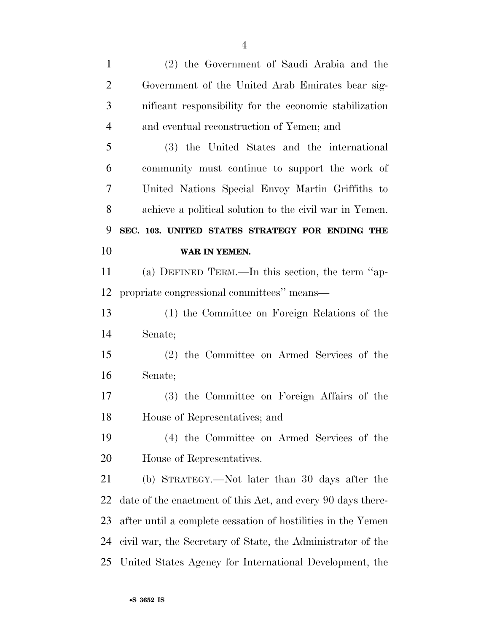| $\mathbf{1}$   | (2) the Government of Saudi Arabia and the                   |
|----------------|--------------------------------------------------------------|
| $\overline{2}$ | Government of the United Arab Emirates bear sig-             |
| 3              | nificant responsibility for the economic stabilization       |
| $\overline{4}$ | and eventual reconstruction of Yemen; and                    |
| 5              | (3) the United States and the international                  |
| 6              | community must continue to support the work of               |
| 7              | United Nations Special Envoy Martin Griffiths to             |
| 8              | achieve a political solution to the civil war in Yemen.      |
| 9              | SEC. 103. UNITED STATES STRATEGY FOR ENDING THE              |
| 10             | WAR IN YEMEN.                                                |
| 11             | (a) DEFINED TERM.—In this section, the term "ap-             |
| 12             | propriate congressional committees" means—                   |
| 13             | (1) the Committee on Foreign Relations of the                |
| 14             | Senate;                                                      |
| 15             | (2) the Committee on Armed Services of the                   |
| 16             | Senate;                                                      |
| 17             | (3) the Committee on Foreign Affairs of the                  |
| 18             | House of Representatives; and                                |
| 19             | (4) the Committee on Armed Services of the                   |
| 20             | House of Representatives.                                    |
| 21             | (b) STRATEGY.—Not later than 30 days after the               |
| 22             | date of the enactment of this Act, and every 90 days there-  |
| 23             | after until a complete cessation of hostilities in the Yemen |
| 24             | civil war, the Secretary of State, the Administrator of the  |
| 25             | United States Agency for International Development, the      |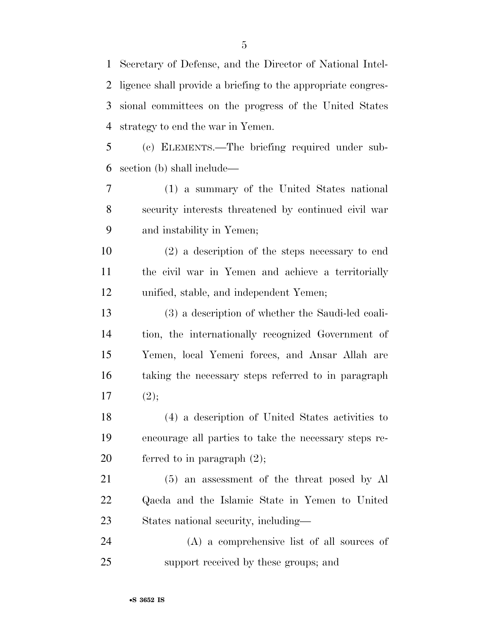Secretary of Defense, and the Director of National Intel- ligence shall provide a briefing to the appropriate congres- sional committees on the progress of the United States strategy to end the war in Yemen.

 (c) ELEMENTS.—The briefing required under sub-section (b) shall include—

 (1) a summary of the United States national security interests threatened by continued civil war and instability in Yemen;

 (2) a description of the steps necessary to end the civil war in Yemen and achieve a territorially unified, stable, and independent Yemen;

 (3) a description of whether the Saudi-led coali- tion, the internationally recognized Government of Yemen, local Yemeni forces, and Ansar Allah are taking the necessary steps referred to in paragraph 17  $(2)$ ;

 (4) a description of United States activities to encourage all parties to take the necessary steps re-20 ferred to in paragraph  $(2)$ ;

 (5) an assessment of the threat posed by Al Qaeda and the Islamic State in Yemen to United States national security, including—

 (A) a comprehensive list of all sources of support received by these groups; and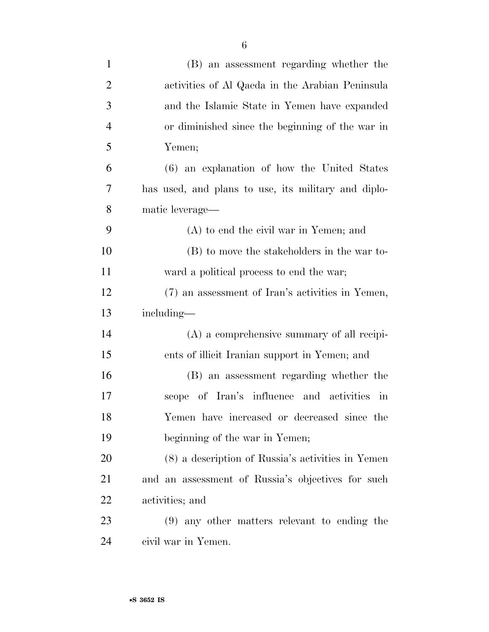| $\mathbf{1}$   | (B) an assessment regarding whether the             |
|----------------|-----------------------------------------------------|
| $\overline{2}$ | activities of Al Qaeda in the Arabian Peninsula     |
| 3              | and the Islamic State in Yemen have expanded        |
| $\overline{4}$ | or diminished since the beginning of the war in     |
| 5              | Yemen;                                              |
| 6              | (6) an explanation of how the United States         |
| 7              | has used, and plans to use, its military and diplo- |
| 8              | matic leverage-                                     |
| 9              | $(A)$ to end the civil war in Yemen; and            |
| 10             | (B) to move the stakeholders in the war to-         |
| 11             | ward a political process to end the war;            |
| 12             | (7) an assessment of Iran's activities in Yemen,    |
| 13             | including—                                          |
| 14             | $(A)$ a comprehensive summary of all recipi-        |
| 15             | ents of illicit Iranian support in Yemen; and       |
| 16             | (B) an assessment regarding whether the             |
| 17             | scope of Iran's influence and activities in         |
| 18             | Yemen have increased or decreased since the         |
| 19             | beginning of the war in Yemen;                      |
| 20             | (8) a description of Russia's activities in Yemen   |
| 21             | and an assessment of Russia's objectives for such   |
| 22             | activities; and                                     |
| 23             | (9) any other matters relevant to ending the        |
| 24             | civil war in Yemen.                                 |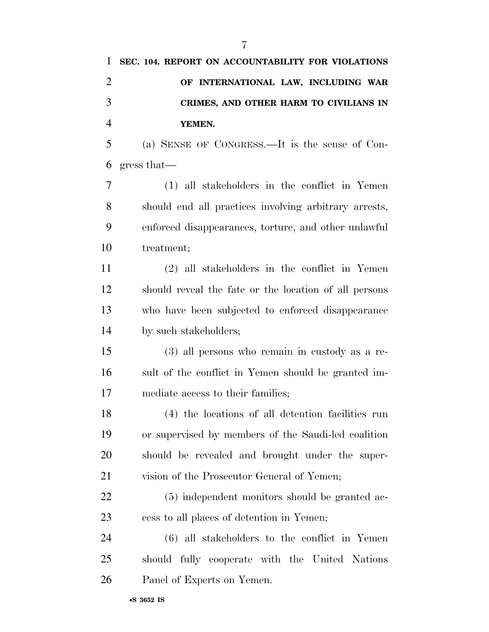| 1              | SEC. 104. REPORT ON ACCOUNTABILITY FOR VIOLATIONS     |
|----------------|-------------------------------------------------------|
| $\overline{2}$ | OF INTERNATIONAL LAW, INCLUDING WAR                   |
| 3              | CRIMES, AND OTHER HARM TO CIVILIANS IN                |
| $\overline{4}$ | YEMEN.                                                |
| 5              | (a) SENSE OF CONGRESS.—It is the sense of Con-        |
| 6              | gress that—                                           |
| 7              | (1) all stakeholders in the conflict in Yemen         |
| 8              | should end all practices involving arbitrary arrests, |
| 9              | enforced disappearances, torture, and other unlawful  |
| 10             | treatment;                                            |
| 11             | (2) all stakeholders in the conflict in Yemen         |
| 12             | should reveal the fate or the location of all persons |
| 13             | who have been subjected to enforced disappearance     |
| 14             | by such stakeholders;                                 |
| 15             | $(3)$ all persons who remain in custody as a re-      |
| 16             | sult of the conflict in Yemen should be granted im-   |
| 17             | mediate access to their families;                     |
| 18             | (4) the locations of all detention facilities run     |
| 19             | or supervised by members of the Saudi-led coalition   |
| 20             | should be revealed and brought under the super-       |
| 21             | vision of the Prosecutor General of Yemen;            |
| 22             | (5) independent monitors should be granted ac-        |
| 23             | cess to all places of detention in Yemen;             |
| 24             | $(6)$ all stakeholders to the conflict in Yemen       |
| 25             | should fully cooperate with the United Nations        |
| 26             | Panel of Experts on Yemen.                            |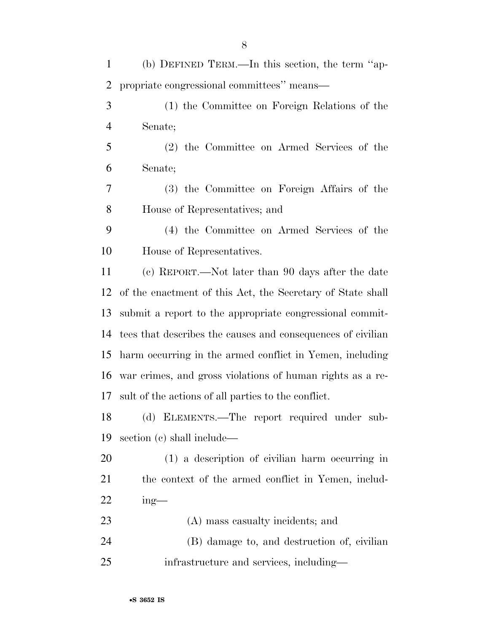(b) DEFINED TERM.—In this section, the term ''ap- propriate congressional committees'' means— (1) the Committee on Foreign Relations of the Senate; (2) the Committee on Armed Services of the Senate; (3) the Committee on Foreign Affairs of the House of Representatives; and (4) the Committee on Armed Services of the House of Representatives. (c) REPORT.—Not later than 90 days after the date of the enactment of this Act, the Secretary of State shall submit a report to the appropriate congressional commit- tees that describes the causes and consequences of civilian harm occurring in the armed conflict in Yemen, including war crimes, and gross violations of human rights as a re- sult of the actions of all parties to the conflict. (d) ELEMENTS.—The report required under sub- section (c) shall include— (1) a description of civilian harm occurring in the context of the armed conflict in Yemen, includ- ing— (A) mass casualty incidents; and (B) damage to, and destruction of, civilian infrastructure and services, including—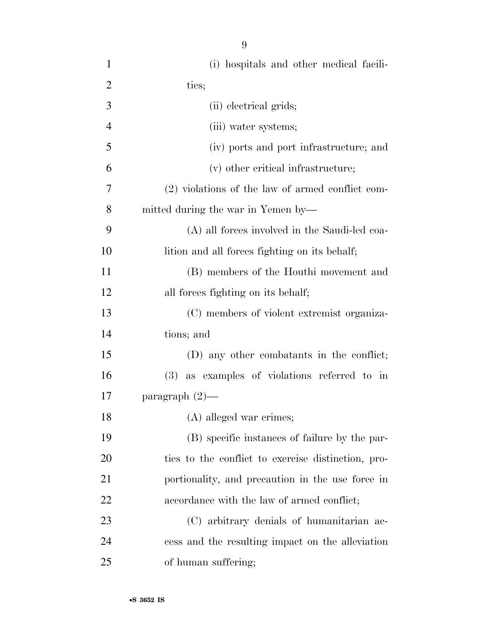| $\mathbf{1}$   | (i) hospitals and other medical facili-            |
|----------------|----------------------------------------------------|
| $\overline{2}$ | ties;                                              |
| 3              | (ii) electrical grids;                             |
| $\overline{4}$ | (iii) water systems;                               |
| 5              | (iv) ports and port infrastructure; and            |
| 6              | (v) other critical infrastructure;                 |
| 7              | (2) violations of the law of armed conflict com-   |
| 8              | mitted during the war in Yemen by—                 |
| 9              | (A) all forces involved in the Saudi-led coa-      |
| 10             | lition and all forces fighting on its behalf;      |
| 11             | (B) members of the Houthi movement and             |
| 12             | all forces fighting on its behalf;                 |
| 13             | (C) members of violent extremist organiza-         |
| 14             | tions; and                                         |
| 15             | (D) any other combatants in the conflict;          |
| 16             | $(3)$ as examples of violations referred to in     |
| 17             | paragraph $(2)$ —                                  |
| 18             | (A) alleged war crimes;                            |
| 19             | (B) specific instances of failure by the par-      |
| 20             | ties to the conflict to exercise distinction, pro- |
| 21             | portionality, and precaution in the use force in   |
| 22             | accordance with the law of armed conflict;         |
| 23             | (C) arbitrary denials of humanitarian ac-          |
| 24             | cess and the resulting impact on the alleviation   |
| 25             | of human suffering;                                |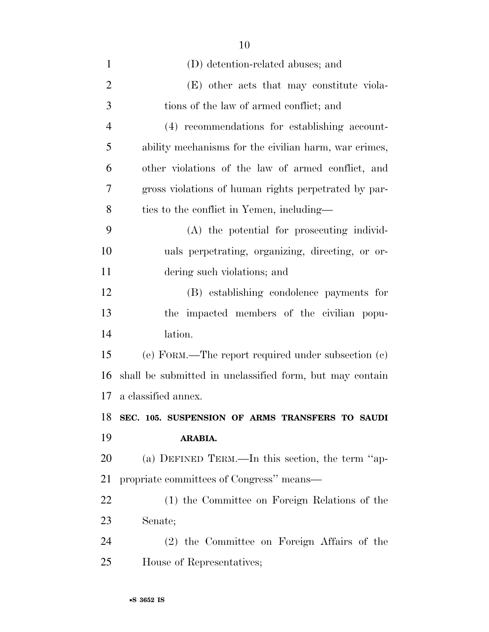| $\mathbf{1}$   | (D) detention-related abuses; and                        |
|----------------|----------------------------------------------------------|
| $\overline{2}$ | (E) other acts that may constitute viola-                |
| 3              | tions of the law of armed conflict; and                  |
| $\overline{4}$ | (4) recommendations for establishing account-            |
| 5              | ability mechanisms for the civilian harm, war crimes,    |
| 6              | other violations of the law of armed conflict, and       |
| 7              | gross violations of human rights perpetrated by par-     |
| 8              | ties to the conflict in Yemen, including—                |
| 9              | (A) the potential for prosecuting individ-               |
| 10             | uals perpetrating, organizing, directing, or or-         |
| 11             | dering such violations; and                              |
| 12             | (B) establishing condolence payments for                 |
| 13             | the impacted members of the civilian popu-               |
| 14             | lation.                                                  |
| 15             | (e) FORM.—The report required under subsection $(c)$     |
| 16             | shall be submitted in unclassified form, but may contain |
| 17             | a classified annex.                                      |
| 18             | SEC. 105. SUSPENSION OF ARMS TRANSFERS TO SAUDI          |
| 19             | ARABIA.                                                  |
| 20             | (a) DEFINED TERM.—In this section, the term "ap-         |
| 21             | propriate committees of Congress" means—                 |
| 22             | (1) the Committee on Foreign Relations of the            |
| 23             | Senate;                                                  |
| 24             | (2) the Committee on Foreign Affairs of the              |
| 25             | House of Representatives;                                |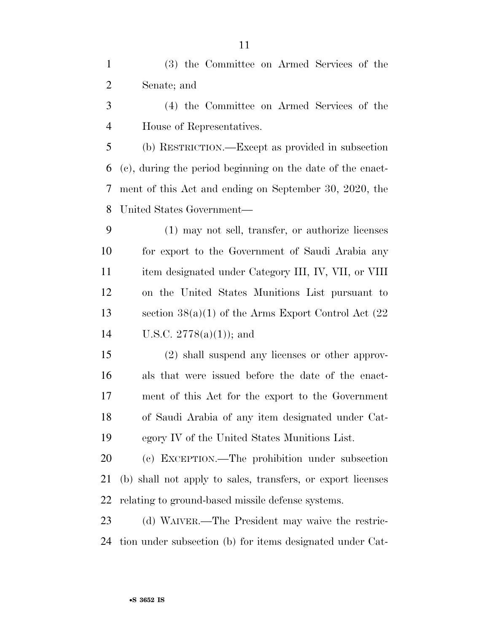(3) the Committee on Armed Services of the Senate; and

 (4) the Committee on Armed Services of the House of Representatives.

 (b) RESTRICTION.—Except as provided in subsection (c), during the period beginning on the date of the enact- ment of this Act and ending on September 30, 2020, the United States Government—

 (1) may not sell, transfer, or authorize licenses for export to the Government of Saudi Arabia any item designated under Category III, IV, VII, or VIII on the United States Munitions List pursuant to 13 section  $38(a)(1)$  of the Arms Export Control Act  $(22)$ U.S.C. 2778(a)(1)); and

 (2) shall suspend any licenses or other approv- als that were issued before the date of the enact- ment of this Act for the export to the Government of Saudi Arabia of any item designated under Cat-egory IV of the United States Munitions List.

 (c) EXCEPTION.—The prohibition under subsection (b) shall not apply to sales, transfers, or export licenses relating to ground-based missile defense systems.

 (d) WAIVER.—The President may waive the restric-tion under subsection (b) for items designated under Cat-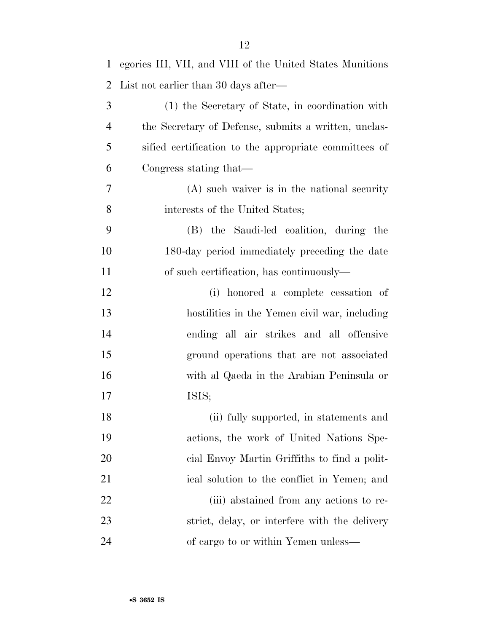| $\mathbf{1}$   | egories III, VII, and VIII of the United States Munitions |
|----------------|-----------------------------------------------------------|
| $\overline{2}$ | List not earlier than 30 days after—                      |
| 3              | (1) the Secretary of State, in coordination with          |
| $\overline{4}$ | the Secretary of Defense, submits a written, unclas-      |
| 5              | sified certification to the appropriate committees of     |
| 6              | Congress stating that—                                    |
| 7              | $(A)$ such waiver is in the national security             |
| 8              | interests of the United States;                           |
| 9              | (B) the Saudi-led coalition, during the                   |
| 10             | 180-day period immediately preceding the date             |
| 11             | of such certification, has continuously—                  |
| 12             | (i) honored a complete cessation of                       |
| 13             | hostilities in the Yemen civil war, including             |
| 14             | ending all air strikes and all offensive                  |
| 15             | ground operations that are not associated                 |
| 16             | with al Qaeda in the Arabian Peninsula or                 |
| 17             | ISIS;                                                     |
| 18             | (ii) fully supported, in statements and                   |
| 19             | actions, the work of United Nations Spe-                  |
| 20             | eial Envoy Martin Griffiths to find a polit-              |
| 21             | ical solution to the conflict in Yemen; and               |
| 22             | (iii) abstained from any actions to re-                   |
| 23             | strict, delay, or interfere with the delivery             |
| 24             | of cargo to or within Yemen unless—                       |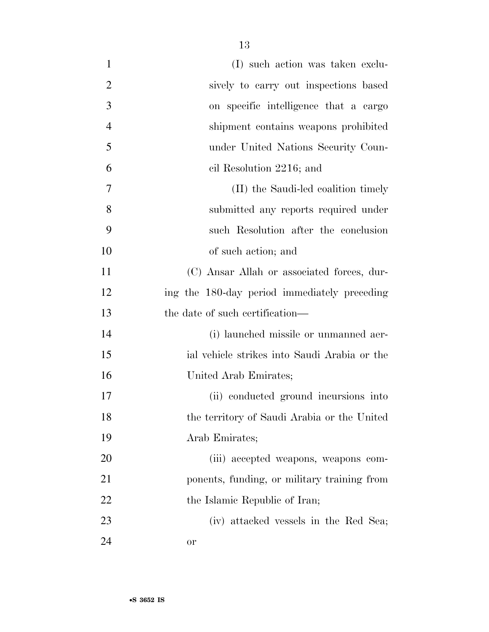| $\mathbf{1}$   | (I) such action was taken exclu-             |
|----------------|----------------------------------------------|
| $\overline{2}$ | sively to carry out inspections based        |
| 3              | on specific intelligence that a cargo        |
| $\overline{4}$ | shipment contains weapons prohibited         |
| 5              | under United Nations Security Coun-          |
| 6              | cil Resolution 2216; and                     |
| 7              | (II) the Saudi-led coalition timely          |
| 8              | submitted any reports required under         |
| 9              | such Resolution after the conclusion         |
| 10             | of such action; and                          |
| 11             | (C) Ansar Allah or associated forces, dur-   |
| 12             | ing the 180-day period immediately preceding |
| 13             | the date of such certification—              |
| 14             | (i) launched missile or unmanned aer-        |
| 15             | ial vehicle strikes into Saudi Arabia or the |
| 16             | United Arab Emirates;                        |
| 17             | (ii) conducted ground incursions into        |
| 18             | the territory of Saudi Arabia or the United  |
| 19             | Arab Emirates;                               |
| 20             | (iii) accepted weapons, weapons com-         |
| 21             | ponents, funding, or military training from  |
| 22             | the Islamic Republic of Iran;                |
| 23             | (iv) attacked vessels in the Red Sea;        |
| 24             | <b>or</b>                                    |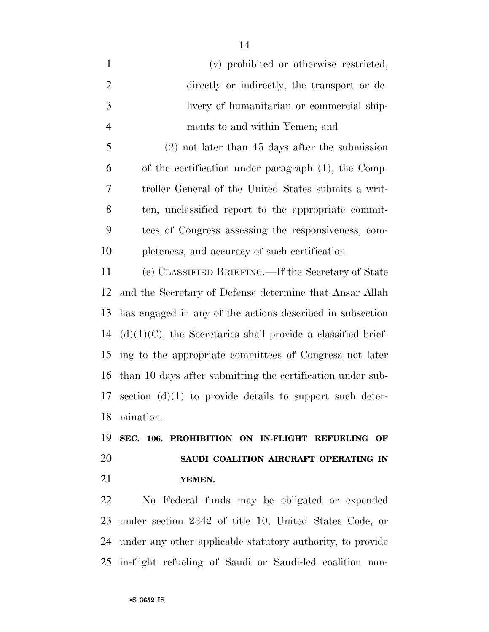| $\mathbf{1}$   | (v) prohibited or otherwise restricted,              |
|----------------|------------------------------------------------------|
| 2              | directly or indirectly, the transport or de-         |
| 3              | livery of humanitarian or commercial ship-           |
| $\overline{4}$ | ments to and within Yemen; and                       |
| 5              | $(2)$ not later than 45 days after the submission    |
| 6              | of the certification under paragraph (1), the Comp-  |
| 7              | troller General of the United States submits a writ- |
| 8              | ten, unclassified report to the appropriate commit-  |
| 9              | tees of Congress assessing the responsiveness, com-  |
| 10             | pleteness, and accuracy of such certification.       |
|                |                                                      |

 (e) CLASSIFIED BRIEFING.—If the Secretary of State and the Secretary of Defense determine that Ansar Allah has engaged in any of the actions described in subsection (d) $(1)(C)$ , the Secretaries shall provide a classified brief- ing to the appropriate committees of Congress not later than 10 days after submitting the certification under sub- section (d)(1) to provide details to support such deter-mination.

 **SEC. 106. PROHIBITION ON IN-FLIGHT REFUELING OF SAUDI COALITION AIRCRAFT OPERATING IN YEMEN.** 

 No Federal funds may be obligated or expended under section 2342 of title 10, United States Code, or under any other applicable statutory authority, to provide in-flight refueling of Saudi or Saudi-led coalition non-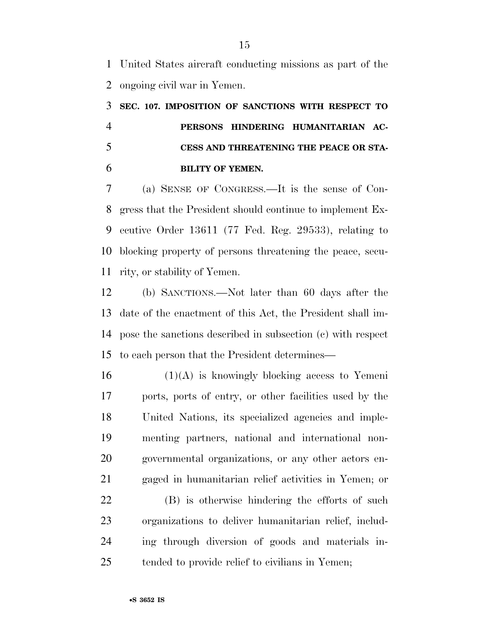United States aircraft conducting missions as part of the ongoing civil war in Yemen.

 **SEC. 107. IMPOSITION OF SANCTIONS WITH RESPECT TO PERSONS HINDERING HUMANITARIAN AC- CESS AND THREATENING THE PEACE OR STA-BILITY OF YEMEN.** 

 (a) SENSE OF CONGRESS.—It is the sense of Con- gress that the President should continue to implement Ex- ecutive Order 13611 (77 Fed. Reg. 29533), relating to blocking property of persons threatening the peace, secu-rity, or stability of Yemen.

 (b) SANCTIONS.—Not later than 60 days after the date of the enactment of this Act, the President shall im- pose the sanctions described in subsection (c) with respect to each person that the President determines—

 (1)(A) is knowingly blocking access to Yemeni ports, ports of entry, or other facilities used by the United Nations, its specialized agencies and imple- menting partners, national and international non- governmental organizations, or any other actors en-gaged in humanitarian relief activities in Yemen; or

 (B) is otherwise hindering the efforts of such organizations to deliver humanitarian relief, includ- ing through diversion of goods and materials in-tended to provide relief to civilians in Yemen;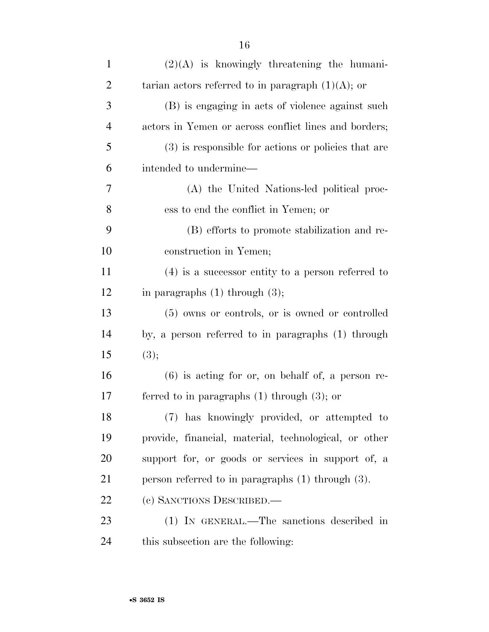| $\mathbf{1}$   | $(2)(A)$ is knowingly threatening the humani-          |
|----------------|--------------------------------------------------------|
| $\overline{2}$ | tarian actors referred to in paragraph $(1)(A)$ ; or   |
| 3              | (B) is engaging in acts of violence against such       |
| $\overline{4}$ | actors in Yemen or across conflict lines and borders;  |
| 5              | (3) is responsible for actions or policies that are    |
| 6              | intended to undermine—                                 |
| $\overline{7}$ | (A) the United Nations-led political proc-             |
| 8              | ess to end the conflict in Yemen; or                   |
| 9              | (B) efforts to promote stabilization and re-           |
| 10             | construction in Yemen;                                 |
| 11             | $(4)$ is a successor entity to a person referred to    |
| 12             | in paragraphs $(1)$ through $(3)$ ;                    |
| 13             | (5) owns or controls, or is owned or controlled        |
| 14             | by, a person referred to in paragraphs (1) through     |
| 15             | (3);                                                   |
| 16             | $(6)$ is acting for or, on behalf of, a person re-     |
| 17             | ferred to in paragraphs $(1)$ through $(3)$ ; or       |
| 18             | (7) has knowingly provided, or attempted to            |
| 19             | provide, financial, material, technological, or other  |
| <b>20</b>      | support for, or goods or services in support of, a     |
| 21             | person referred to in paragraphs $(1)$ through $(3)$ . |
| 22             | (c) SANCTIONS DESCRIBED.                               |
| 23             | (1) IN GENERAL.—The sanctions described in             |
| 24             | this subsection are the following:                     |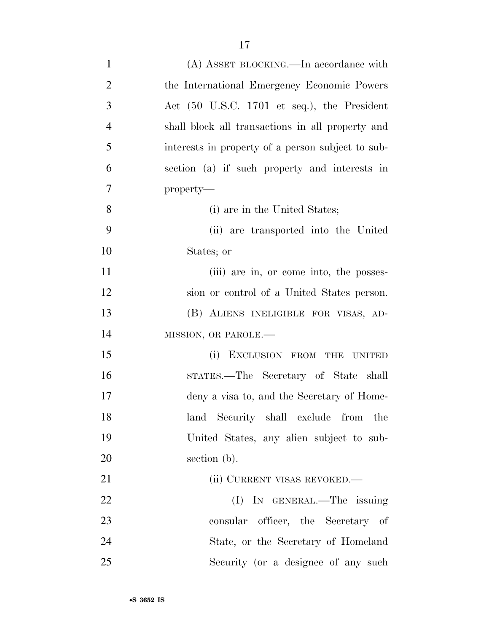| $\mathbf{1}$   | (A) ASSET BLOCKING.—In accordance with            |
|----------------|---------------------------------------------------|
| $\overline{2}$ | the International Emergency Economic Powers       |
| 3              | Act (50 U.S.C. 1701 et seq.), the President       |
| $\overline{4}$ | shall block all transactions in all property and  |
| 5              | interests in property of a person subject to sub- |
| 6              | section (a) if such property and interests in     |
| $\tau$         | property-                                         |
| 8              | (i) are in the United States;                     |
| 9              | (ii) are transported into the United              |
| 10             | States; or                                        |
| 11             | (iii) are in, or come into, the posses-           |
| 12             | sion or control of a United States person.        |
| 13             | (B) ALIENS INELIGIBLE FOR VISAS, AD-              |
| 14             | MISSION, OR PAROLE.-                              |
| 15             | EXCLUSION FROM THE UNITED<br>(i)                  |
| 16             | STATES.—The Secretary of State shall              |
| 17             | deny a visa to, and the Secretary of Home-        |
| 18             | land Security shall exclude from the              |
| 19             | United States, any alien subject to sub-          |
| 20             | section (b).                                      |
| 21             | (ii) CURRENT VISAS REVOKED.—                      |
| 22             | (I) IN GENERAL.—The issuing                       |
| 23             | consular officer, the Secretary of                |
| 24             | State, or the Secretary of Homeland               |
| 25             | Security (or a designee of any such               |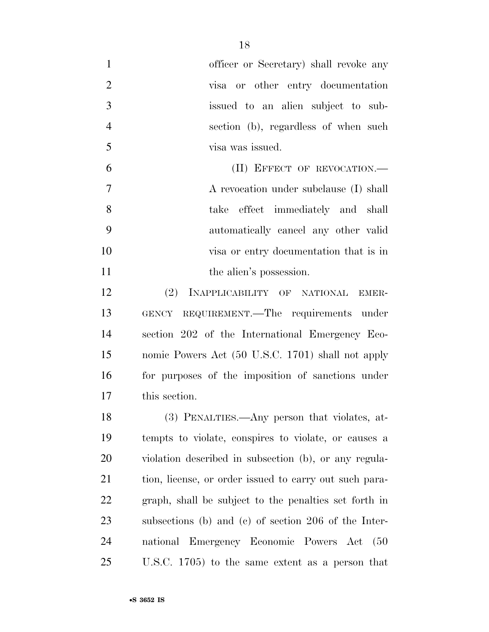| $\mathbf{1}$   | officer or Secretary) shall revoke any                 |
|----------------|--------------------------------------------------------|
| $\overline{2}$ | visa or other entry documentation                      |
| 3              | issued to an alien subject to sub-                     |
| $\overline{4}$ | section (b), regardless of when such                   |
| 5              | visa was issued.                                       |
| 6              | (II) EFFECT OF REVOCATION.—                            |
| 7              | A revocation under subclause (I) shall                 |
| 8              | take effect immediately and shall                      |
| 9              | automatically cancel any other valid                   |
| 10             | visa or entry documentation that is in                 |
| 11             | the alien's possession.                                |
| 12             | (2) INAPPLICABILITY OF NATIONAL EMER-                  |
| 13             | GENCY REQUIREMENT.—The requirements under              |
| 14             | section 202 of the International Emergency Eco-        |
| 15             | nomic Powers Act (50 U.S.C. 1701) shall not apply      |
| 16             | for purposes of the imposition of sanctions under      |
| 17             | this section.                                          |
| 18             | (3) PENALTIES.—Any person that violates, at-           |
| 19             | tempts to violate, conspires to violate, or causes a   |
| 20             | violation described in subsection (b), or any regula-  |
| 21             | tion, license, or order issued to carry out such para- |
| 22             | graph, shall be subject to the penalties set forth in  |
| 23             | subsections (b) and (c) of section $206$ of the Inter- |
| 24             | national Emergency Economic Powers Act<br>(50)         |
| 25             | U.S.C. 1705) to the same extent as a person that       |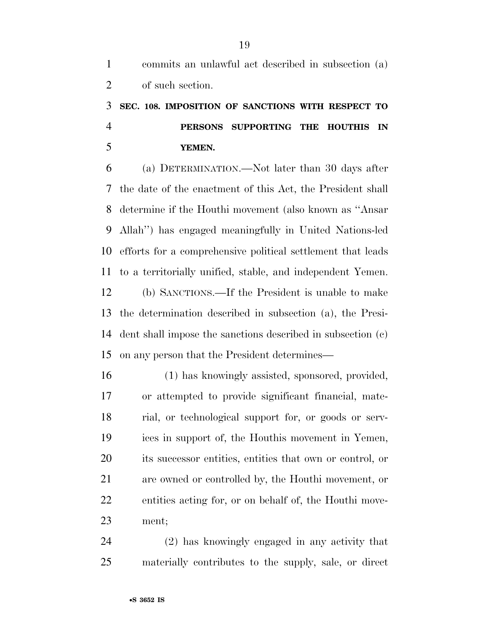### **SEC. 108. IMPOSITION OF SANCTIONS WITH RESPECT TO PERSONS SUPPORTING THE HOUTHIS IN YEMEN.**

 (a) DETERMINATION.—Not later than 30 days after the date of the enactment of this Act, the President shall determine if the Houthi movement (also known as ''Ansar Allah'') has engaged meaningfully in United Nations-led efforts for a comprehensive political settlement that leads to a territorially unified, stable, and independent Yemen. (b) SANCTIONS.—If the President is unable to make the determination described in subsection (a), the Presi- dent shall impose the sanctions described in subsection (c) on any person that the President determines—

 (1) has knowingly assisted, sponsored, provided, or attempted to provide significant financial, mate- rial, or technological support for, or goods or serv- ices in support of, the Houthis movement in Yemen, its successor entities, entities that own or control, or are owned or controlled by, the Houthi movement, or entities acting for, or on behalf of, the Houthi move-ment;

 (2) has knowingly engaged in any activity that materially contributes to the supply, sale, or direct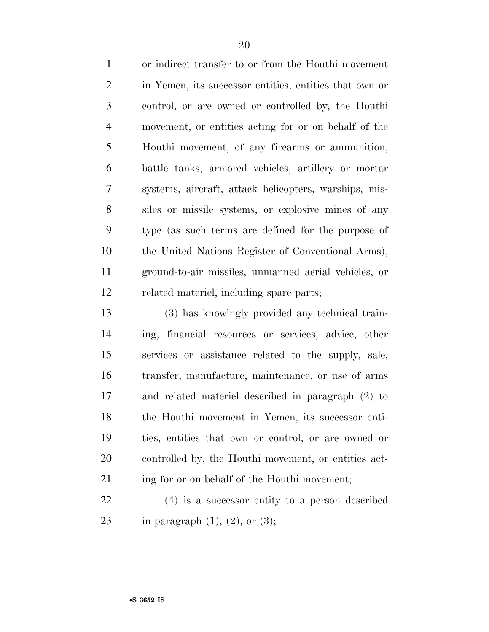or indirect transfer to or from the Houthi movement in Yemen, its successor entities, entities that own or control, or are owned or controlled by, the Houthi movement, or entities acting for or on behalf of the Houthi movement, of any firearms or ammunition, battle tanks, armored vehicles, artillery or mortar systems, aircraft, attack helicopters, warships, mis- siles or missile systems, or explosive mines of any type (as such terms are defined for the purpose of the United Nations Register of Conventional Arms), ground-to-air missiles, unmanned aerial vehicles, or related materiel, including spare parts;

 (3) has knowingly provided any technical train- ing, financial resources or services, advice, other services or assistance related to the supply, sale, transfer, manufacture, maintenance, or use of arms and related materiel described in paragraph (2) to the Houthi movement in Yemen, its successor enti- ties, entities that own or control, or are owned or controlled by, the Houthi movement, or entities act-21 ing for or on behalf of the Houthi movement;

 (4) is a successor entity to a person described 23 in paragraph  $(1)$ ,  $(2)$ , or  $(3)$ ;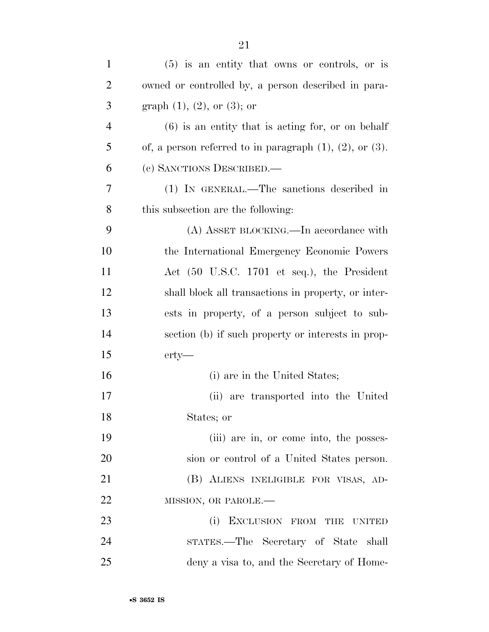| $\mathbf{1}$   | $(5)$ is an entity that owns or controls, or is                  |
|----------------|------------------------------------------------------------------|
| $\overline{2}$ | owned or controlled by, a person described in para-              |
| 3              | graph $(1)$ , $(2)$ , or $(3)$ ; or                              |
| $\overline{4}$ | $(6)$ is an entity that is acting for, or on behalf              |
| 5              | of, a person referred to in paragraph $(1)$ , $(2)$ , or $(3)$ . |
| 6              | (c) SANCTIONS DESCRIBED.                                         |
| 7              | (1) IN GENERAL.—The sanctions described in                       |
| 8              | this subsection are the following:                               |
| 9              | (A) ASSET BLOCKING.—In accordance with                           |
| 10             | the International Emergency Economic Powers                      |
| 11             | Act (50 U.S.C. 1701 et seq.), the President                      |
| 12             | shall block all transactions in property, or inter-              |
| 13             | ests in property, of a person subject to sub-                    |
| 14             | section (b) if such property or interests in prop-               |
| 15             | $erty$ —                                                         |
| 16             | (i) are in the United States;                                    |
| 17             | (ii) are transported into the United                             |
| 18             | States; or                                                       |
| 19             | (iii) are in, or come into, the posses-                          |
| 20             | sion or control of a United States person.                       |
| 21             | (B) ALIENS INELIGIBLE FOR VISAS, AD-                             |
| 22             | MISSION, OR PAROLE.-                                             |
| 23             | (i) EXCLUSION FROM THE UNITED                                    |
| 24             | STATES.—The Secretary of State shall                             |
| 25             | deny a visa to, and the Secretary of Home-                       |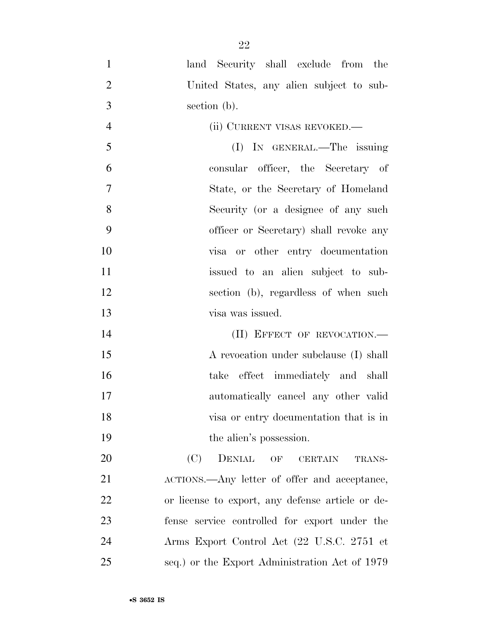- land Security shall exclude from the United States, any alien subject to sub-section (b).
- (ii) CURRENT VISAS REVOKED.— (I) IN GENERAL.—The issuing consular officer, the Secretary of State, or the Secretary of Homeland Security (or a designee of any such officer or Secretary) shall revoke any visa or other entry documentation issued to an alien subject to sub- section (b), regardless of when such visa was issued.

14 (II) EFFECT OF REVOCATION.— 15 A revocation under subclause (I) shall take effect immediately and shall automatically cancel any other valid visa or entry documentation that is in 19 the alien's possession.

20 (C) DENIAL OF CERTAIN TRANS-21 ACTIONS.—Any letter of offer and acceptance, or license to export, any defense article or de- fense service controlled for export under the Arms Export Control Act (22 U.S.C. 2751 et seq.) or the Export Administration Act of 1979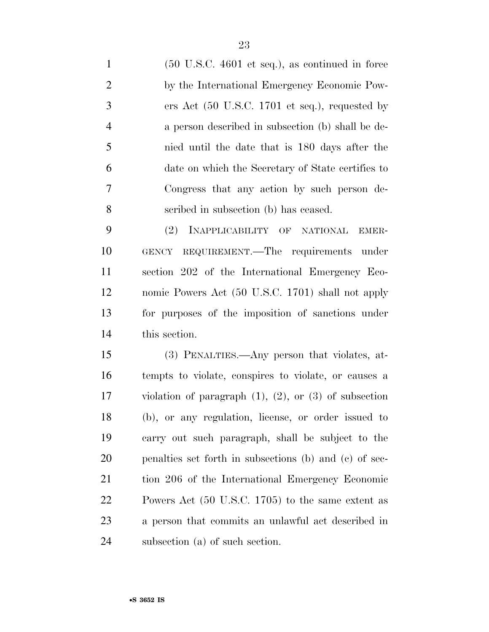(50 U.S.C. 4601 et seq.), as continued in force by the International Emergency Economic Pow- ers Act (50 U.S.C. 1701 et seq.), requested by a person described in subsection (b) shall be de- nied until the date that is 180 days after the date on which the Secretary of State certifies to Congress that any action by such person de-scribed in subsection (b) has ceased.

 (2) INAPPLICABILITY OF NATIONAL EMER- GENCY REQUIREMENT.—The requirements under section 202 of the International Emergency Eco- nomic Powers Act (50 U.S.C. 1701) shall not apply for purposes of the imposition of sanctions under this section.

 (3) PENALTIES.—Any person that violates, at- tempts to violate, conspires to violate, or causes a violation of paragraph (1), (2), or (3) of subsection (b), or any regulation, license, or order issued to carry out such paragraph, shall be subject to the penalties set forth in subsections (b) and (c) of sec- tion 206 of the International Emergency Economic Powers Act (50 U.S.C. 1705) to the same extent as a person that commits an unlawful act described in subsection (a) of such section.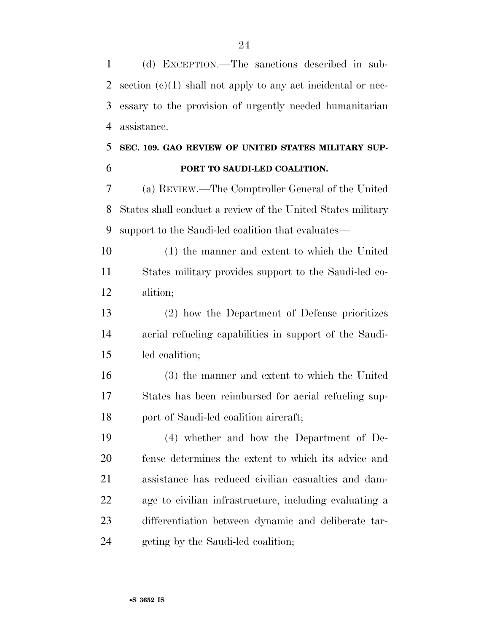(d) EXCEPTION.—The sanctions described in sub- section (c)(1) shall not apply to any act incidental or nec- essary to the provision of urgently needed humanitarian assistance.

### **SEC. 109. GAO REVIEW OF UNITED STATES MILITARY SUP-PORT TO SAUDI-LED COALITION.**

 (a) REVIEW.—The Comptroller General of the United States shall conduct a review of the United States military support to the Saudi-led coalition that evaluates—

 (1) the manner and extent to which the United States military provides support to the Saudi-led co-alition;

 (2) how the Department of Defense prioritizes aerial refueling capabilities in support of the Saudi-led coalition;

 (3) the manner and extent to which the United States has been reimbursed for aerial refueling sup-port of Saudi-led coalition aircraft;

 (4) whether and how the Department of De- fense determines the extent to which its advice and assistance has reduced civilian casualties and dam- age to civilian infrastructure, including evaluating a differentiation between dynamic and deliberate tar-geting by the Saudi-led coalition;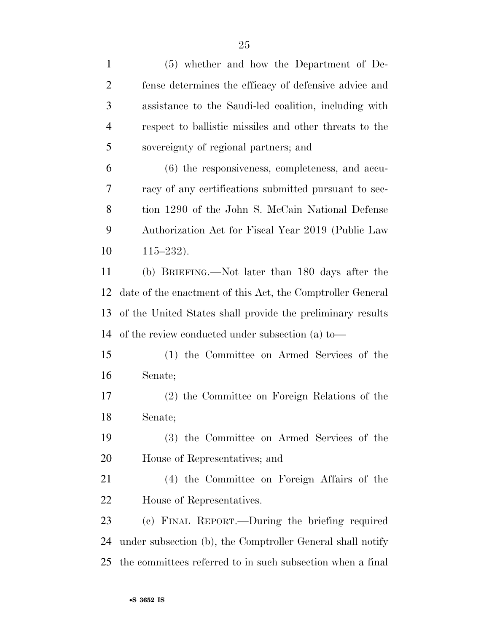(5) whether and how the Department of De- fense determines the efficacy of defensive advice and assistance to the Saudi-led coalition, including with respect to ballistic missiles and other threats to the sovereignty of regional partners; and (6) the responsiveness, completeness, and accu- racy of any certifications submitted pursuant to sec- tion 1290 of the John S. McCain National Defense Authorization Act for Fiscal Year 2019 (Public Law 115–232). (b) BRIEFING.—Not later than 180 days after the date of the enactment of this Act, the Comptroller General of the United States shall provide the preliminary results of the review conducted under subsection (a) to— (1) the Committee on Armed Services of the Senate; (2) the Committee on Foreign Relations of the Senate; (3) the Committee on Armed Services of the House of Representatives; and (4) the Committee on Foreign Affairs of the House of Representatives. (c) FINAL REPORT.—During the briefing required under subsection (b), the Comptroller General shall notify the committees referred to in such subsection when a final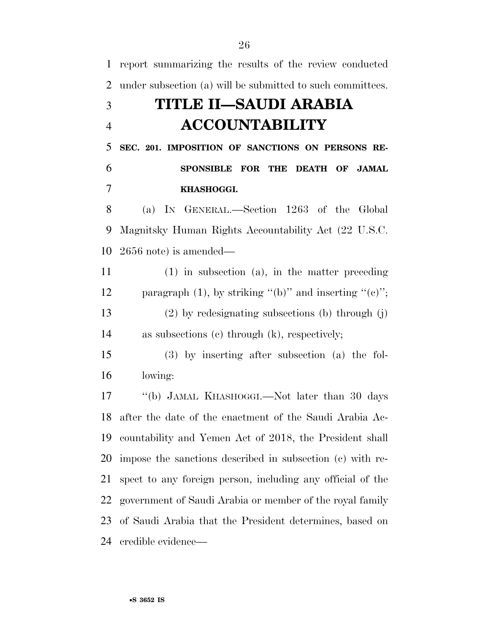| $\mathbf{1}$   | report summarizing the results of the review conducted           |
|----------------|------------------------------------------------------------------|
| $\overline{2}$ | under subsection (a) will be submitted to such committees.       |
| 3              | TITLE II–SAUDI ARABIA                                            |
| $\overline{4}$ | <b>ACCOUNTABILITY</b>                                            |
| 5              | SEC. 201. IMPOSITION OF SANCTIONS ON PERSONS RE-                 |
| 6              | <b>SPONSIBLE FOR</b><br>THE DEATH OF<br><b>JAMAL</b>             |
| 7              | KHASHOGGI.                                                       |
| 8              | (a) IN GENERAL.—Section 1263 of the Global                       |
| 9              | Magnitsky Human Rights Accountability Act (22 U.S.C.             |
| 10             | $2656$ note) is amended—                                         |
| 11             | $(1)$ in subsection $(a)$ , in the matter preceding              |
| 12             | paragraph $(1)$ , by striking " $(b)$ " and inserting " $(c)$ "; |
| 13             | $(2)$ by redesignating subsections (b) through (j)               |
| 14             | as subsections $(c)$ through $(k)$ , respectively;               |
| 15             | $(3)$ by inserting after subsection $(a)$ the fol-               |
| 16             | lowing:                                                          |
| 17             | "(b) JAMAL KHASHOGGI.—Not later than 30 days                     |
| 18             | after the date of the enactment of the Saudi Arabia Ac-          |
| 19             | countability and Yemen Act of 2018, the President shall          |
| 20             | impose the sanctions described in subsection (c) with re-        |
| 21             | spect to any foreign person, including any official of the       |
| 22             | government of Saudi Arabia or member of the royal family         |
| 23             | of Saudi Arabia that the President determines, based on          |
| 24             | credible evidence—                                               |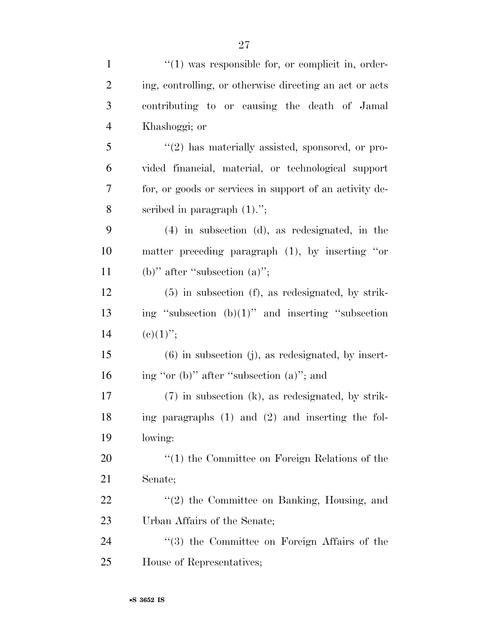| $\mathbf{1}$   | $\lq(1)$ was responsible for, or complicit in, order-   |
|----------------|---------------------------------------------------------|
| $\overline{2}$ | ing, controlling, or otherwise directing an act or acts |
| 3              | contributing to or causing the death of Jamal           |
| $\overline{4}$ | Khashoggi; or                                           |
| 5              | $\lq(2)$ has materially assisted, sponsored, or pro-    |
| 6              | vided financial, material, or technological support     |
| 7              | for, or goods or services in support of an activity de- |
| 8              | scribed in paragraph $(1)$ .";                          |
| 9              | $(4)$ in subsection $(d)$ , as redesignated, in the     |
| 10             | matter preceding paragraph $(1)$ , by inserting "or     |
| 11             | (b)" after "subsection $(a)$ ";                         |
| 12             | $(5)$ in subsection $(f)$ , as redesignated, by strik-  |
| 13             | ing "subsection $(b)(1)$ " and inserting "subsection    |
| 14             | $(c)(1)$ ";                                             |
| 15             | $(6)$ in subsection (j), as redesignated, by insert-    |
| 16             | ing "or (b)" after "subsection (a)"; and                |
| 17             | $(7)$ in subsection $(k)$ , as redesignated, by strik-  |
| 18             | ing paragraphs $(1)$ and $(2)$ and inserting the fol-   |
| 19             | lowing:                                                 |
| 20             | $"(1)$ the Committee on Foreign Relations of the        |
| 21             | Senate;                                                 |
| 22             | $"(2)$ the Committee on Banking, Housing, and           |
| 23             | Urban Affairs of the Senate;                            |
| 24             | $\lq(3)$ the Committee on Foreign Affairs of the        |
| 25             | House of Representatives;                               |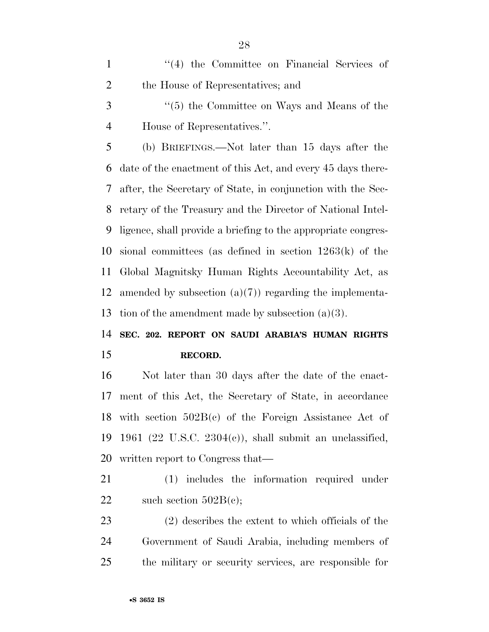1 ''(4) the Committee on Financial Services of the House of Representatives; and

 ''(5) the Committee on Ways and Means of the House of Representatives.''.

 (b) BRIEFINGS.—Not later than 15 days after the date of the enactment of this Act, and every 45 days there- after, the Secretary of State, in conjunction with the Sec- retary of the Treasury and the Director of National Intel- ligence, shall provide a briefing to the appropriate congres- sional committees (as defined in section 1263(k) of the Global Magnitsky Human Rights Accountability Act, as 12 amended by subsection  $(a)(7)$  regarding the implementa-13 tion of the amendment made by subsection  $(a)(3)$ .

 **SEC. 202. REPORT ON SAUDI ARABIA'S HUMAN RIGHTS RECORD.** 

 Not later than 30 days after the date of the enact- ment of this Act, the Secretary of State, in accordance with section 502B(c) of the Foreign Assistance Act of 1961 (22 U.S.C. 2304(c)), shall submit an unclassified, written report to Congress that—

 (1) includes the information required under 22 such section  $502B(e)$ ;

 (2) describes the extent to which officials of the Government of Saudi Arabia, including members of the military or security services, are responsible for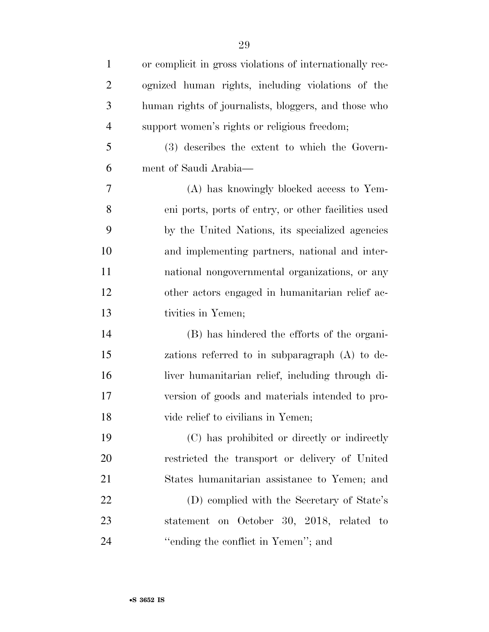| $\mathbf{1}$   | or complicit in gross violations of internationally rec- |
|----------------|----------------------------------------------------------|
| $\overline{2}$ | ognized human rights, including violations of the        |
| 3              | human rights of journalists, bloggers, and those who     |
| $\overline{4}$ | support women's rights or religious freedom;             |
| 5              | (3) describes the extent to which the Govern-            |
| 6              | ment of Saudi Arabia—                                    |
| 7              | (A) has knowingly blocked access to Yem-                 |
| 8              | eni ports, ports of entry, or other facilities used      |
| 9              | by the United Nations, its specialized agencies          |
| 10             | and implementing partners, national and inter-           |
| 11             | national nongovernmental organizations, or any           |
| 12             | other actors engaged in humanitarian relief ac-          |
| 13             | tivities in Yemen;                                       |
| 14             | (B) has hindered the efforts of the organi-              |
| 15             | zations referred to in subparagraph (A) to de-           |
| 16             | liver humanitarian relief, including through di-         |
| 17             | version of goods and materials intended to pro-          |
| 18             | vide relief to civilians in Yemen;                       |
| 19             | (C) has prohibited or directly or indirectly             |
| 20             | restricted the transport or delivery of United           |
| 21             | States humanitarian assistance to Yemen; and             |
| 22             | (D) complied with the Secretary of State's               |
| 23             | statement on October 30, 2018, related to                |
| 24             | "ending the conflict in Yemen"; and                      |